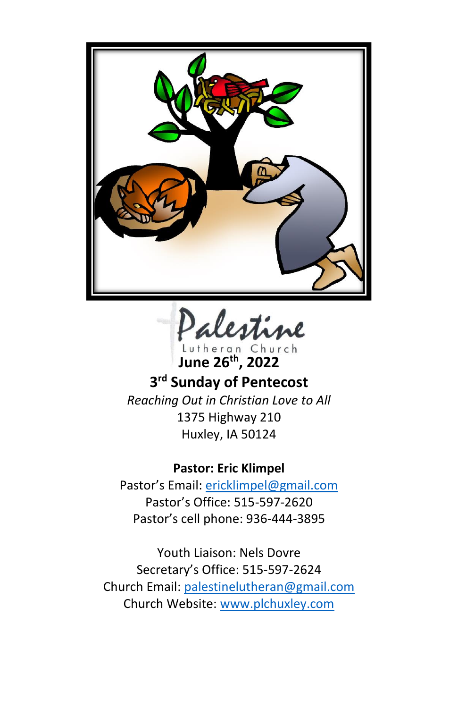

alestine

**June 26 th, 2022**

**3 rd Sunday of Pentecost** *Reaching Out in Christian Love to All* 1375 Highway 210 Huxley, IA 50124

**Pastor: Eric Klimpel**

Pastor's Email: [ericklimpel@gmail.com](mailto:ericklimpel@gmail.com) Pastor's Office: 515-597-2620 Pastor's cell phone: 936-444-3895

Youth Liaison: Nels Dovre Secretary's Office: 515-597-2624 Church Email: [palestinelutheran@gmail.com](mailto:palestinelutheran@gmail.com) Church Website: [www.plchuxley.com](http://www.plchuxley.com/)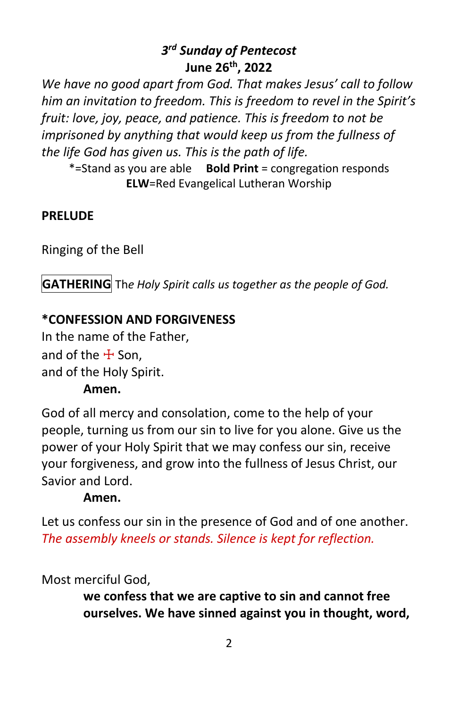# *3 rd Sunday of Pentecost* **June 26th, 2022**

*We have no good apart from God. That makes Jesus' call to follow him an invitation to freedom. This is freedom to revel in the Spirit's fruit: love, joy, peace, and patience. This is freedom to not be imprisoned by anything that would keep us from the fullness of the life God has given us. This is the path of life.*

\*=Stand as you are able **Bold Print** = congregation responds **ELW**=Red Evangelical Lutheran Worship

# **PRELUDE**

Ringing of the Bell

**GATHERING** Th*e Holy Spirit calls us together as the people of God.*

# **\*CONFESSION AND FORGIVENESS**

In the name of the Father, and of the  $\pm$  Son. and of the Holy Spirit.

# **Amen.**

God of all mercy and consolation, come to the help of your people, turning us from our sin to live for you alone. Give us the power of your Holy Spirit that we may confess our sin, receive your forgiveness, and grow into the fullness of Jesus Christ, our Savior and Lord.

# **Amen.**

Let us confess our sin in the presence of God and of one another. *The assembly kneels or stands. Silence is kept for reflection.*

Most merciful God,

**we confess that we are captive to sin and cannot free ourselves. We have sinned against you in thought, word,**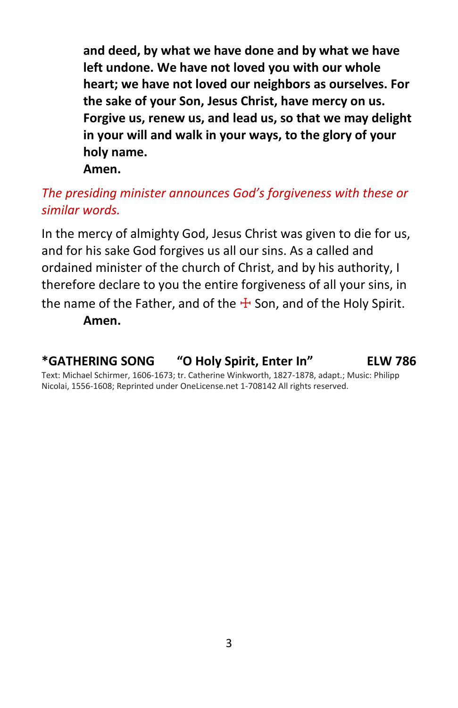**and deed, by what we have done and by what we have left undone. We have not loved you with our whole heart; we have not loved our neighbors as ourselves. For the sake of your Son, Jesus Christ, have mercy on us. Forgive us, renew us, and lead us, so that we may delight in your will and walk in your ways, to the glory of your holy name.**

**Amen.**

# *The presiding minister announces God's forgiveness with these or similar words.*

In the mercy of almighty God, Jesus Christ was given to die for us, and for his sake God forgives us all our sins. As a called and ordained minister of the church of Christ, and by his authority, I therefore declare to you the entire forgiveness of all your sins, in the name of the Father, and of the  $\pm$  Son, and of the Holy Spirit. **Amen.**

# **\*GATHERING SONG "O Holy Spirit, Enter In" ELW 786**

Text: Michael Schirmer, 1606-1673; tr. Catherine Winkworth, 1827-1878, adapt.; Music: Philipp Nicolai, 1556-1608; Reprinted under OneLicense.net 1-708142 All rights reserved.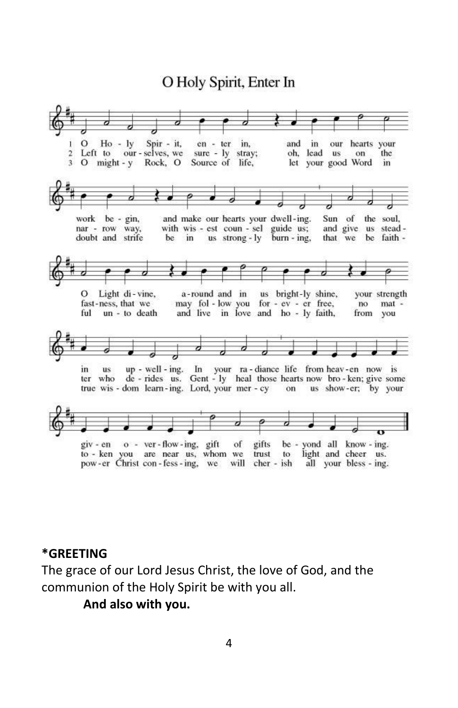# O Holy Spirit, Enter In



#### **\*GREETING**

The grace of our Lord Jesus Christ, the love of God, and the communion of the Holy Spirit be with you all.

**And also with you.**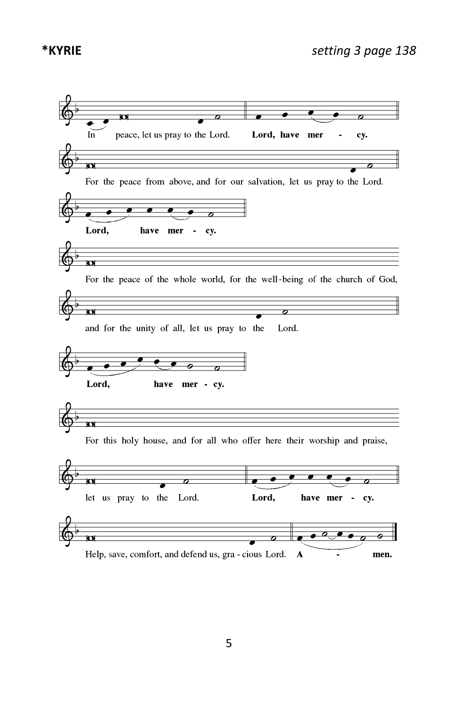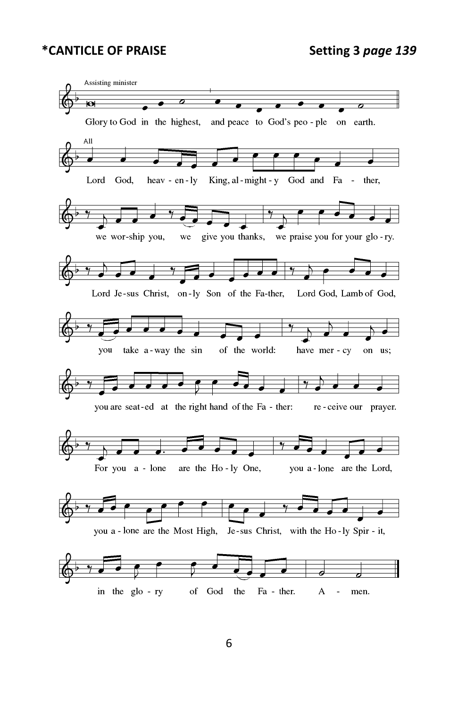#### **\*CANTICLE OF PRAISE Setting 3** *page 139*

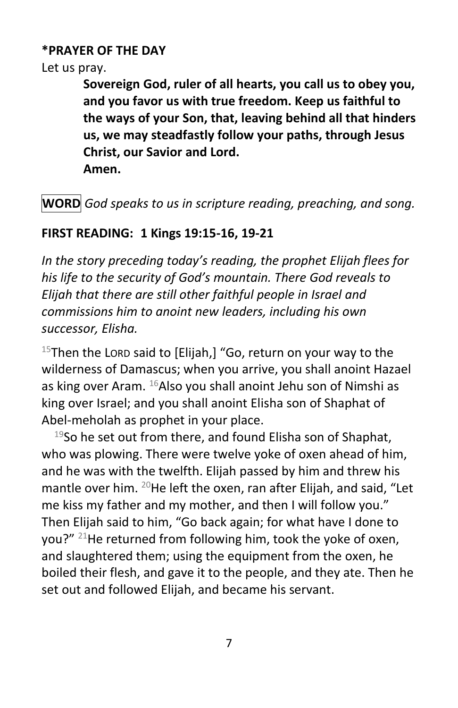# **\*PRAYER OF THE DAY**

Let us pray.

**Sovereign God, ruler of all hearts, you call us to obey you, and you favor us with true freedom. Keep us faithful to the ways of your Son, that, leaving behind all that hinders us, we may steadfastly follow your paths, through Jesus Christ, our Savior and Lord.**

**Amen.**

**WORD** *God speaks to us in scripture reading, preaching, and song.*

# **FIRST READING: 1 Kings 19:15-16, 19-21**

*In the story preceding today's reading, the prophet Elijah flees for his life to the security of God's mountain. There God reveals to Elijah that there are still other faithful people in Israel and commissions him to anoint new leaders, including his own successor, Elisha.*

 $15$ Then the LORD said to [Elijah,] "Go, return on your way to the wilderness of Damascus; when you arrive, you shall anoint Hazael as king over Aram.  $^{16}$ Also you shall anoint Jehu son of Nimshi as king over Israel; and you shall anoint Elisha son of Shaphat of Abel-meholah as prophet in your place.

 $19$ So he set out from there, and found Elisha son of Shaphat, who was plowing. There were twelve yoke of oxen ahead of him, and he was with the twelfth. Elijah passed by him and threw his mantle over him. <sup>20</sup>He left the oxen, ran after Elijah, and said, "Let me kiss my father and my mother, and then I will follow you." Then Elijah said to him, "Go back again; for what have I done to you?" <sup>21</sup>He returned from following him, took the yoke of oxen, and slaughtered them; using the equipment from the oxen, he boiled their flesh, and gave it to the people, and they ate. Then he set out and followed Elijah, and became his servant.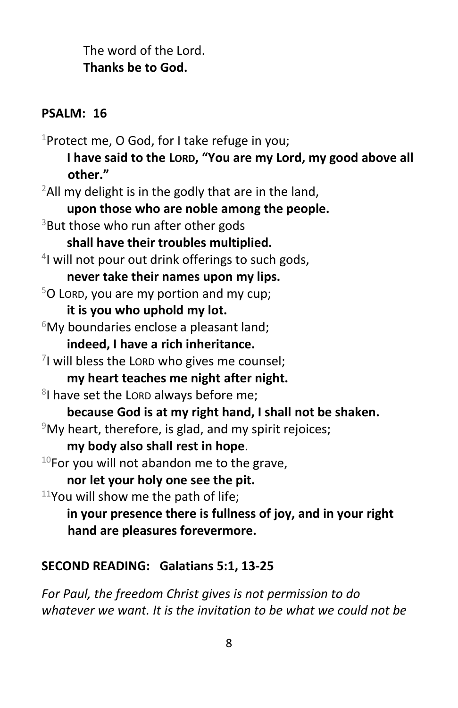The word of the Lord. **Thanks be to God.**

# **PSALM: 16**

<sup>1</sup>Protect me, O God, for I take refuge in you; **I have said to the LORD, "You are my Lord, my good above all other."**  $2$ All my delight is in the godly that are in the land, **upon those who are noble among the people.** <sup>3</sup>But those who run after other gods **shall have their troubles multiplied.** 4 I will not pour out drink offerings to such gods, **never take their names upon my lips.**  $5$ O LORD, you are my portion and my cup; **it is you who uphold my lot.**  $6$ My boundaries enclose a pleasant land; **indeed, I have a rich inheritance.**  $7$ I will bless the LORD who gives me counsel; **my heart teaches me night after night.** <sup>8</sup>I have set the Lord always before me; **because God is at my right hand, I shall not be shaken.**  $9$ My heart, therefore, is glad, and my spirit rejoices; **my body also shall rest in hope**.  $10$ For you will not abandon me to the grave, **nor let your holy one see the pit.**  $11$ You will show me the path of life; **in your presence there is fullness of joy, and in your right hand are pleasures forevermore.**

#### **SECOND READING: Galatians 5:1, 13-25**

*For Paul, the freedom Christ gives is not permission to do whatever we want. It is the invitation to be what we could not be*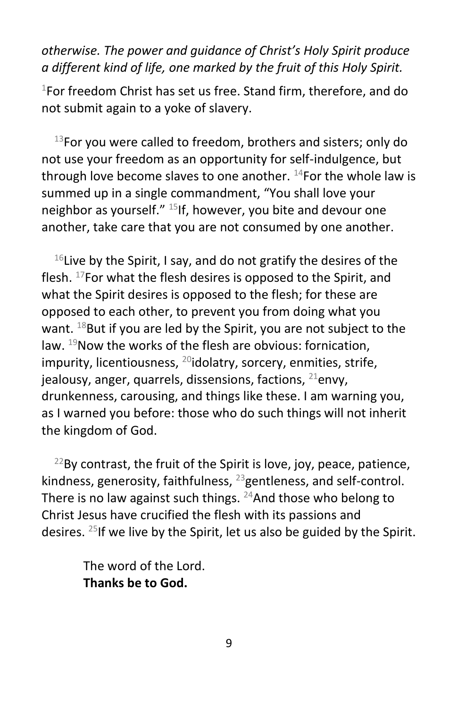*otherwise. The power and guidance of Christ's Holy Spirit produce a different kind of life, one marked by the fruit of this Holy Spirit.*

 $1$ For freedom Christ has set us free. Stand firm, therefore, and do not submit again to a yoke of slavery.

 $13$ For you were called to freedom, brothers and sisters; only do not use your freedom as an opportunity for self-indulgence, but through love become slaves to one another.  $14$  For the whole law is summed up in a single commandment, "You shall love your neighbor as yourself."  $^{15}$ If, however, you bite and devour one another, take care that you are not consumed by one another.

 $16$ Live by the Spirit, I say, and do not gratify the desires of the flesh. <sup>17</sup>For what the flesh desires is opposed to the Spirit, and what the Spirit desires is opposed to the flesh; for these are opposed to each other, to prevent you from doing what you want.  $^{18}$ But if you are led by the Spirit, you are not subject to the law.  $19$ Now the works of the flesh are obvious: fornication, impurity, licentiousness,  $^{20}$ idolatry, sorcery, enmities, strife, jealousy, anger, quarrels, dissensions, factions,  $^{21}$ envy, drunkenness, carousing, and things like these. I am warning you, as I warned you before: those who do such things will not inherit the kingdom of God.

 $^{22}$ By contrast, the fruit of the Spirit is love, joy, peace, patience, kindness, generosity, faithfulness,  $^{23}$ gentleness, and self-control. There is no law against such things.  $24$ And those who belong to Christ Jesus have crucified the flesh with its passions and desires. <sup>25</sup>If we live by the Spirit, let us also be guided by the Spirit.

> The word of the Lord. **Thanks be to God.**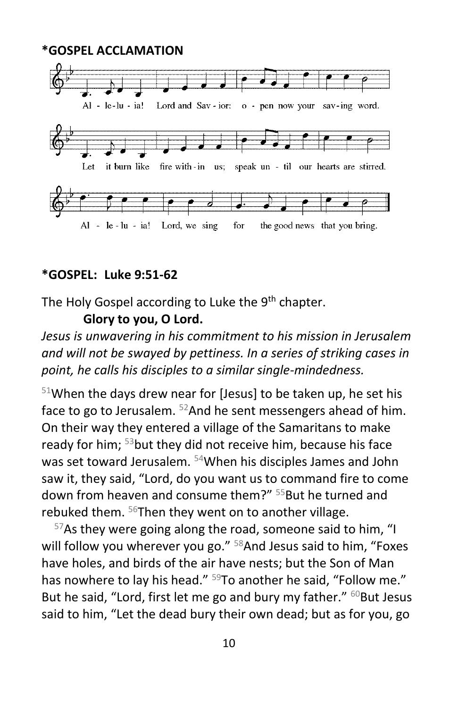

#### **\*GOSPEL: Luke 9:51-62**

The Holy Gospel according to Luke the 9<sup>th</sup> chapter.

#### **Glory to you, O Lord.**

*Jesus is unwavering in his commitment to his mission in Jerusalem and will not be swayed by pettiness. In a series of striking cases in point, he calls his disciples to a similar single-mindedness.*

 $51$ When the days drew near for [Jesus] to be taken up, he set his face to go to Jerusalem. <sup>52</sup>And he sent messengers ahead of him. On their way they entered a village of the Samaritans to make ready for him; <sup>53</sup>but they did not receive him, because his face was set toward Jerusalem. <sup>54</sup>When his disciples James and John saw it, they said, "Lord, do you want us to command fire to come down from heaven and consume them?" <sup>55</sup>But he turned and rebuked them.  $56$ Then they went on to another village.

 $57$ As they were going along the road, someone said to him, "I will follow you wherever you go." <sup>58</sup>And Jesus said to him, "Foxes have holes, and birds of the air have nests; but the Son of Man has nowhere to lay his head." <sup>59</sup>To another he said, "Follow me." But he said, "Lord, first let me go and bury my father." <sup>60</sup>But Jesus said to him, "Let the dead bury their own dead; but as for you, go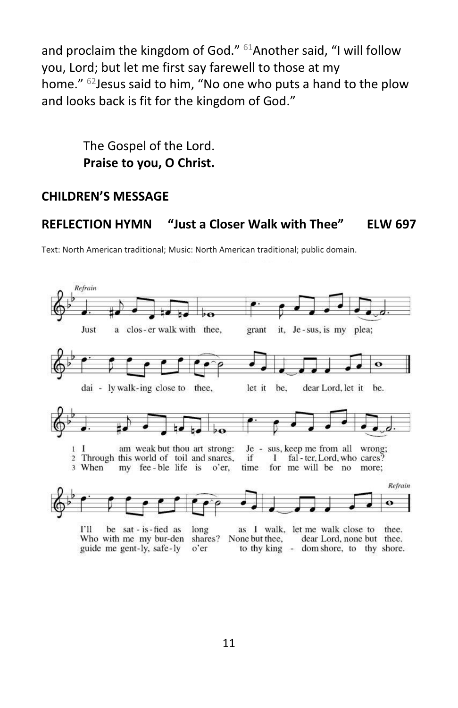and proclaim the kingdom of God." <sup>61</sup>Another said, "I will follow you, Lord; but let me first say farewell to those at my home." <sup>62</sup> Jesus said to him, "No one who puts a hand to the plow and looks back is fit for the kingdom of God."

> The Gospel of the Lord. **Praise to you, O Christ.**

#### **CHILDREN'S MESSAGE**

#### **REFLECTION HYMN "Just a Closer Walk with Thee" ELW 697**

Text: North American traditional; Music: North American traditional; public domain.



Who with me my bur-den shares? None but thee, guide me gent-ly, safe-ly  $o'$  er to thy king - dom shore, to thy shore.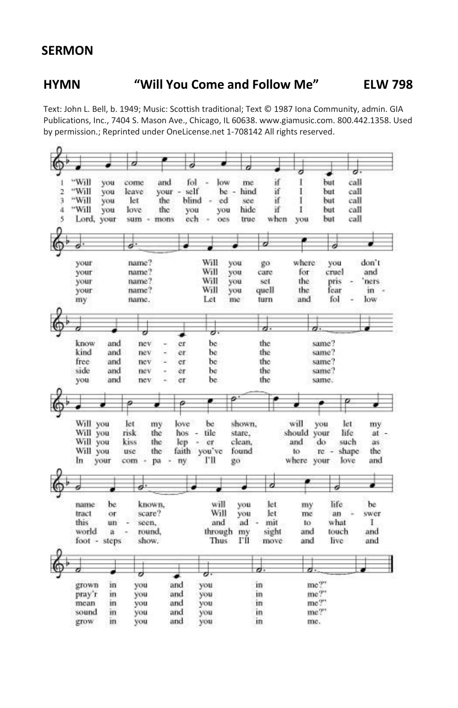#### **SERMON**

#### **HYMN "Will You Come and Follow Me" ELW 798**

Text: John L. Bell, b. 1949; Music: Scottish traditional; Text © 1987 Iona Community, admin. GIA Publications, Inc., 7404 S. Mason Ave., Chicago, IL 60638. www.giamusic.com. 800.442.1358. Used by permission.; Reprinted under OneLicense.net 1-708142 All rights reserved.

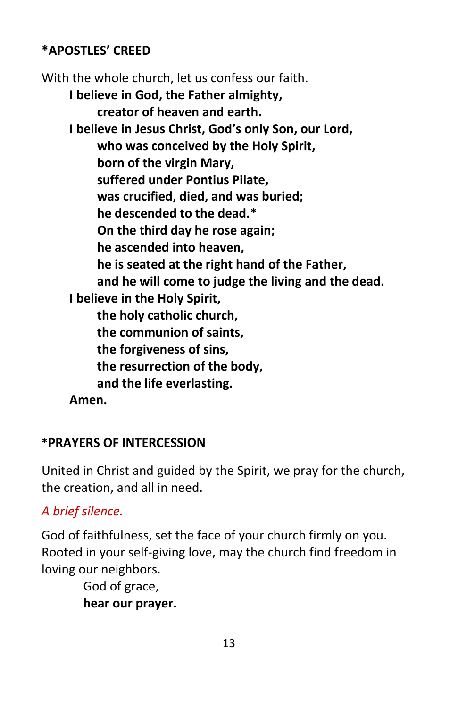# **\*APOSTLES' CREED**

With the whole church, let us confess our faith. **I believe in God, the Father almighty, creator of heaven and earth. I believe in Jesus Christ, God's only Son, our Lord, who was conceived by the Holy Spirit, born of the virgin Mary, suffered under Pontius Pilate, was crucified, died, and was buried; he descended to the dead.\* On the third day he rose again; he ascended into heaven, he is seated at the right hand of the Father, and he will come to judge the living and the dead. I believe in the Holy Spirit, the holy catholic church, the communion of saints, the forgiveness of sins, the resurrection of the body, and the life everlasting. Amen.**

# **\*PRAYERS OF INTERCESSION**

United in Christ and guided by the Spirit, we pray for the church, the creation, and all in need.

# *A brief silence.*

God of faithfulness, set the face of your church firmly on you. Rooted in your self-giving love, may the church find freedom in loving our neighbors.

> God of grace, **hear our prayer.**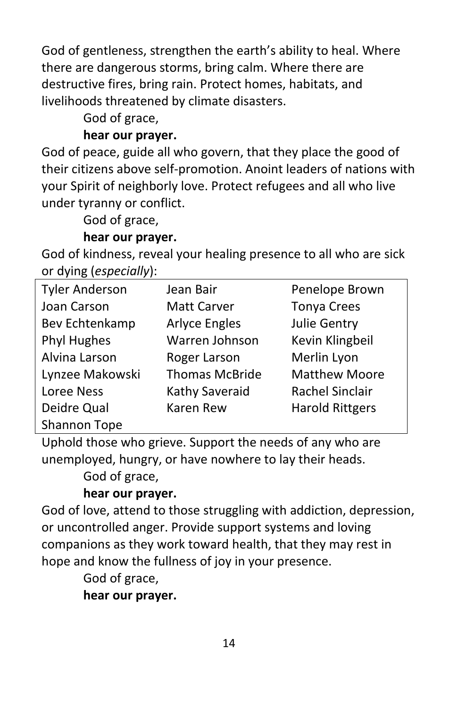God of gentleness, strengthen the earth's ability to heal. Where there are dangerous storms, bring calm. Where there are destructive fires, bring rain. Protect homes, habitats, and livelihoods threatened by climate disasters.

God of grace,

# **hear our prayer.**

God of peace, guide all who govern, that they place the good of their citizens above self-promotion. Anoint leaders of nations with your Spirit of neighborly love. Protect refugees and all who live under tyranny or conflict.

God of grace,

# **hear our prayer.**

God of kindness, reveal your healing presence to all who are sick or dying (*especially*):

| <b>Tyler Anderson</b> | Jean Bair             | Penelope Brown         |
|-----------------------|-----------------------|------------------------|
| Joan Carson           | <b>Matt Carver</b>    | <b>Tonya Crees</b>     |
| Bev Echtenkamp        | <b>Arlyce Engles</b>  | Julie Gentry           |
| Phyl Hughes           | Warren Johnson        | Kevin Klingbeil        |
| Alvina Larson         | Roger Larson          | Merlin Lyon            |
| Lynzee Makowski       | <b>Thomas McBride</b> | <b>Matthew Moore</b>   |
| Loree Ness            | Kathy Saveraid        | Rachel Sinclair        |
| Deidre Qual           | Karen Rew             | <b>Harold Rittgers</b> |
| Shannon Tope          |                       |                        |

Uphold those who grieve. Support the needs of any who are unemployed, hungry, or have nowhere to lay their heads. God of grace,

# **hear our prayer.**

God of love, attend to those struggling with addiction, depression, or uncontrolled anger. Provide support systems and loving companions as they work toward health, that they may rest in hope and know the fullness of joy in your presence.

God of grace,

**hear our prayer.**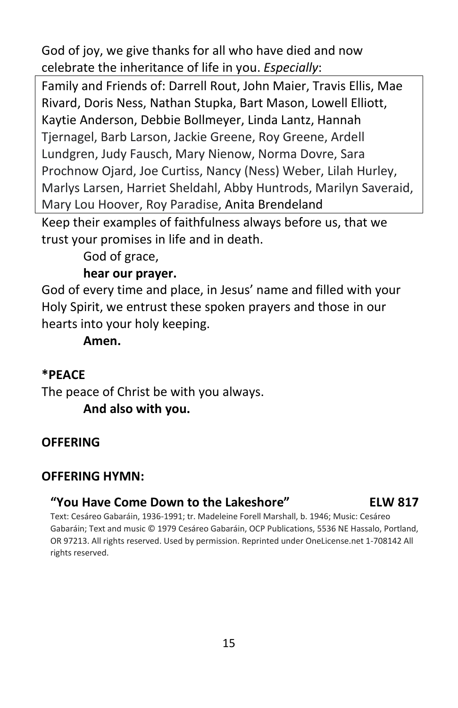God of joy, we give thanks for all who have died and now celebrate the inheritance of life in you. *Especially*:

Family and Friends of: Darrell Rout, John Maier, Travis Ellis, Mae Rivard, Doris Ness, Nathan Stupka, Bart Mason, Lowell Elliott, Kaytie Anderson, Debbie Bollmeyer, Linda Lantz, Hannah Tjernagel, Barb Larson, Jackie Greene, Roy Greene, Ardell Lundgren, Judy Fausch, Mary Nienow, Norma Dovre, Sara Prochnow Ojard, Joe Curtiss, Nancy (Ness) Weber, Lilah Hurley, Marlys Larsen, Harriet Sheldahl, Abby Huntrods, Marilyn Saveraid, Mary Lou Hoover, Roy Paradise, Anita Brendeland

Keep their examples of faithfulness always before us, that we trust your promises in life and in death.

God of grace,

#### **hear our prayer.**

God of every time and place, in Jesus' name and filled with your Holy Spirit, we entrust these spoken prayers and those in our hearts into your holy keeping.

**Amen.**

#### **\*PEACE**

The peace of Christ be with you always. **And also with you.**

#### **OFFERING**

#### **OFFERING HYMN:**

#### **"You Have Come Down to the Lakeshore" ELW 817**

Text: Cesáreo Gabaráin, 1936-1991; tr. Madeleine Forell Marshall, b. 1946; Music: Cesáreo Gabaráin; Text and music © 1979 Cesáreo Gabaráin, OCP Publications, 5536 NE Hassalo, Portland, OR 97213. All rights reserved. Used by permission. Reprinted under OneLicense.net 1-708142 All rights reserved.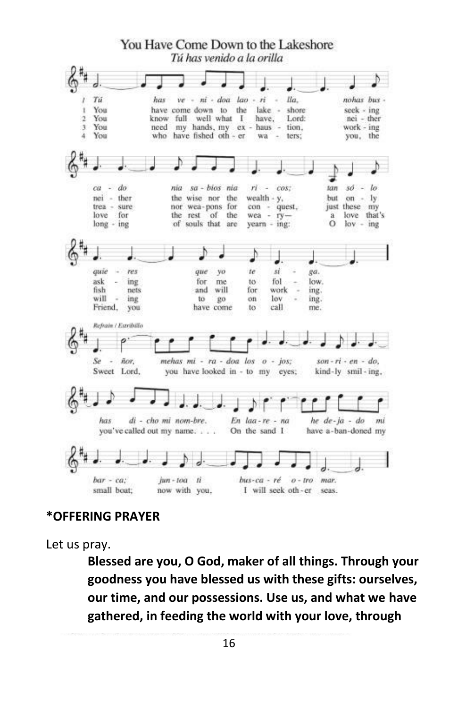

#### **\*OFFERING PRAYER**

Let us pray.

**Blessed are you, O God, maker of all things. Through your goodness you have blessed us with these gifts: ourselves, our time, and our possessions. Use us, and what we have gathered, in feeding the world with your love, through**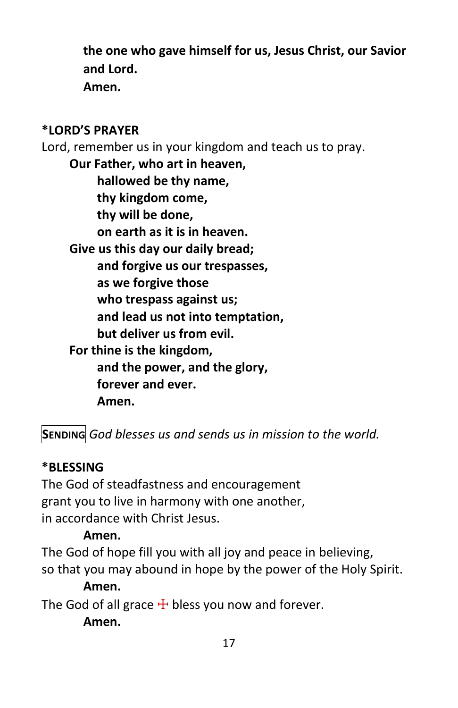**the one who gave himself for us, Jesus Christ, our Savior and Lord. Amen.**

# **\*LORD'S PRAYER**

Lord, remember us in your kingdom and teach us to pray.

**Our Father, who art in heaven, hallowed be thy name, thy kingdom come, thy will be done, on earth as it is in heaven. Give us this day our daily bread; and forgive us our trespasses, as we forgive those who trespass against us; and lead us not into temptation, but deliver us from evil. For thine is the kingdom, and the power, and the glory, forever and ever. Amen.**

**SENDING** *God blesses us and sends us in mission to the world.*

#### **\*BLESSING**

The God of steadfastness and encouragement grant you to live in harmony with one another, in accordance with Christ Jesus.

#### **Amen.**

The God of hope fill you with all joy and peace in believing, so that you may abound in hope by the power of the Holy Spirit.

#### **Amen.**

The God of all grace  $\pm$  bless you now and forever.

**Amen.**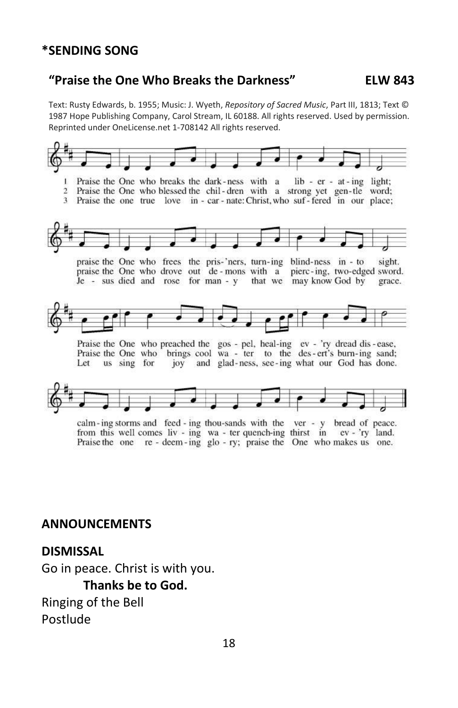#### **\*SENDING SONG**

#### **"Praise the One Who Breaks the Darkness" ELW 843**

Text: Rusty Edwards, b. 1955; Music: J. Wyeth, *Repository of Sacred Music*, Part III, 1813; Text © 1987 Hope Publishing Company, Carol Stream, IL 60188. All rights reserved. Used by permission. Reprinted under OneLicense.net 1-708142 All rights reserved.



calm-ing storms and feed-ing thou-sands with the ver - y bread of peace. from this well comes liv - ing wa - ter quench-ing thirst in ev - 'ry land. Praise the one re - deem-ing glo - ry; praise the One who makes us one.

#### **ANNOUNCEMENTS**

#### **DISMISSAL**

Go in peace. Christ is with you. **Thanks be to God.** Ringing of the Bell Postlude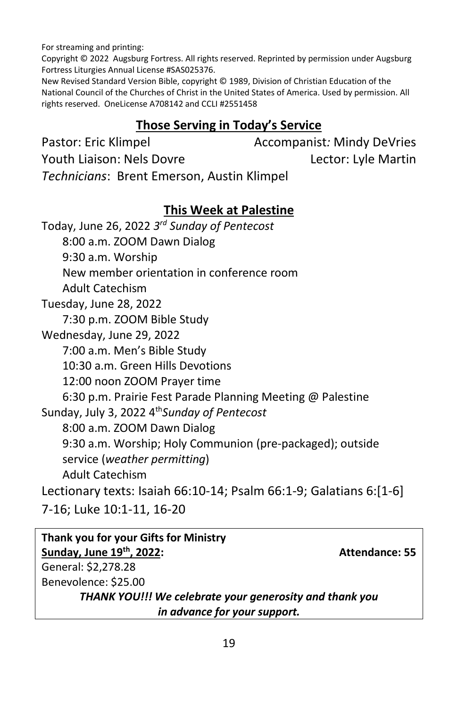For streaming and printing:

Copyright © 2022 Augsburg Fortress. All rights reserved. Reprinted by permission under Augsburg Fortress Liturgies Annual License #SAS025376.

New Revised Standard Version Bible, copyright © 1989, Division of Christian Education of the National Council of the Churches of Christ in the United States of America. Used by permission. All rights reserved. OneLicense A708142 and CCLI #2551458

# **Those Serving in Today's Service**

Pastor: Eric Klimpel **Accompanist**: Mindy DeVries Youth Liaison: Nels Dovre Lector: Lyle Martin *Technicians*: Brent Emerson, Austin Klimpel

# **This Week at Palestine**

Today, June 26, 2022 *3 rd Sunday of Pentecost* 8:00 a.m. ZOOM Dawn Dialog 9:30 a.m. Worship New member orientation in conference room Adult Catechism Tuesday, June 28, 2022 7:30 p.m. ZOOM Bible Study Wednesday, June 29, 2022 7:00 a.m. Men's Bible Study 10:30 a.m. Green Hills Devotions 12:00 noon ZOOM Prayer time 6:30 p.m. Prairie Fest Parade Planning Meeting @ Palestine Sunday, July 3, 2022 4 th*Sunday of Pentecost* 8:00 a.m. ZOOM Dawn Dialog 9:30 a.m. Worship; Holy Communion (pre-packaged); outside service (*weather permitting*) Adult Catechism Lectionary texts: [Isaiah 66:10-14; Psalm 66:1-9; Galatians 6:\[1-6\]](https://members.sundaysandseasons.com/Home/TextsAndResources/2022-7-3/2317)  [7-16; Luke 10:1-11, 16-20](https://members.sundaysandseasons.com/Home/TextsAndResources/2022-7-3/2317)

| Thank you for your Gifts for Ministry                   |                       |
|---------------------------------------------------------|-----------------------|
| Sunday, June 19th, 2022:                                | <b>Attendance: 55</b> |
| General: \$2,278.28                                     |                       |
| Benevolence: \$25.00                                    |                       |
| THANK YOU!!! We celebrate your generosity and thank you |                       |
| in advance for your support.                            |                       |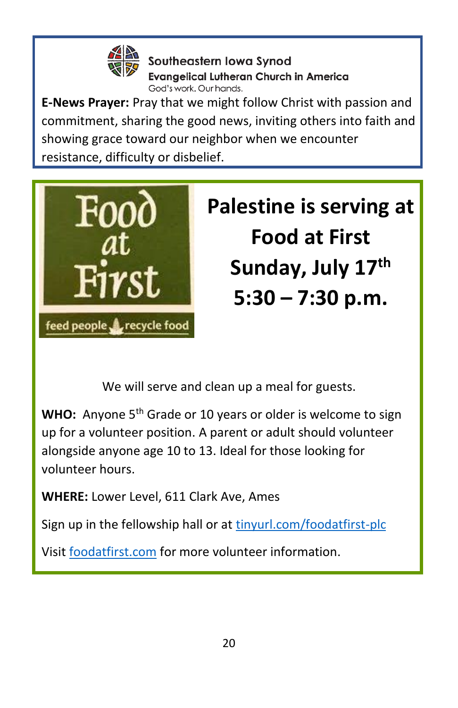

Southeastern lowa Synod **Evangelical Lutheran Church in America** God's work, Our hands.

**E-News Prayer:** Pray that we might follow Christ with passion and commitment, sharing the good news, inviting others into faith and showing grace toward our neighbor when we encounter resistance, difficulty or disbelief.



# **[Palestine is serving at](https://foodatfirst.com/)  [Food at First](https://foodatfirst.com/)  [Sunday, July 17](https://foodatfirst.com/)th 5:30 – [7:30 p.m.](https://foodatfirst.com/)**

We will serve and clean up a meal for guests.

WHO: Anyone 5<sup>th</sup> Grade or 10 years or older is welcome to sign up for a volunteer position. A parent or adult should volunteer alongside anyone age 10 to 13. Ideal for those looking for volunteer hours.

**WHERE:** Lower Level, 611 Clark Ave, Ames

Sign up in the fellowship hall or at [tinyurl.com/foodatfirst-plc](https://docs.google.com/document/d/1tE4LpoKOZXMhva7hdPo2uxnyYHkKx56C2Z4XY07UFYo/edit?usp=sharing)

Visi[t foodatfirst.com](https://foodatfirst.com/) for more volunteer information.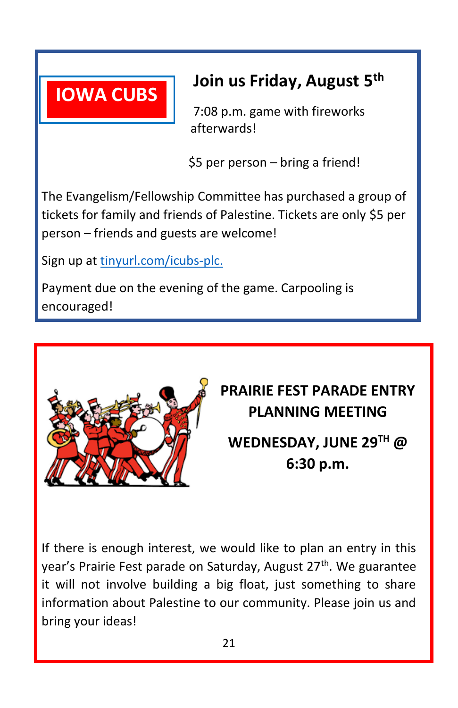

# **Join us Friday, August 5 th**

 7:08 p.m. game with fireworks afterwards!

\$5 per person – bring a friend!

The Evangelism/Fellowship Committee has purchased a group of tickets for family and friends of Palestine. Tickets are only \$5 per person – friends and guests are welcome!

Sign up a[t tinyurl.com/icubs-plc.](https://docs.google.com/document/d/1nh209forTEPmrWzKebdCvoA-uCbYA82vxdoJDt7fglA/edit)

Payment due on the evening of the game. Carpooling is encouraged!



**PRAIRIE FEST PARADE ENTRY PLANNING MEETING WEDNESDAY, JUNE 29TH @ 6:30 p.m.**

If there is enough interest, we would like to plan an entry in this year's Prairie Fest parade on Saturday, August 27<sup>th</sup>. We guarantee it will not involve building a big float, just something to share information about Palestine to our community. Please join us and bring your ideas!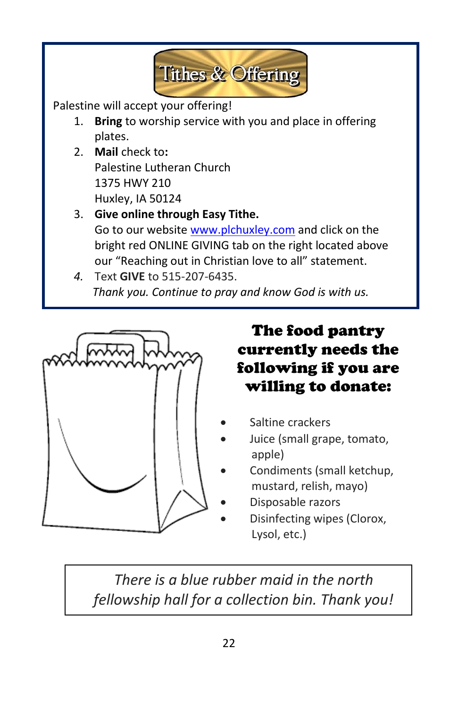

Palestine will accept your offering!

- 1. **Bring** to worship service with you and place in offering plates.
- 2. **Mail** check to**:** Palestine Lutheran Church 1375 HWY 210 Huxley, IA 50124
- 3. **Give online through Easy Tithe.**  Go to our websit[e www.plchuxley.com](http://www.plchuxley.com/) and click on the bright red ONLINE GIVING tab on the right located above our "Reaching out in Christian love to all" statement.
- *4.* Text **GIVE** to 515-207-6435. *Thank you. Continue to pray and know God is with us.*



The food pantry currently needs the following if you are willing to donate:

- Saltine crackers
- Juice (small grape, tomato, apple)
- Condiments (small ketchup, mustard, relish, mayo)
- Disposable razors
- Disinfecting wipes (Clorox, Lysol, etc.)

 $\overline{a}$  *fellowship hall for a collection bin. Thank you!There is a blue rubber maid in the north*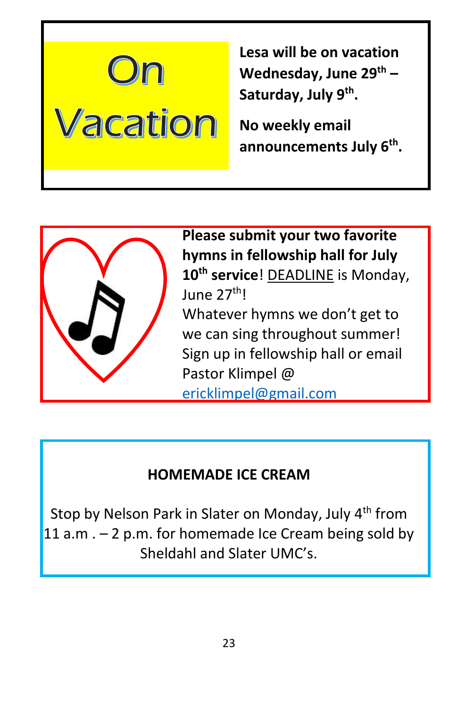

**Lesa will be on vacation Wednesday, June 29th – Saturday, July 9th .** 

**No weekly email announcements July 6th .** 



Ļ

**Please submit your two favorite hymns in fellowship hall for July 10th service**! DEADLINE is Monday, June 27th! Whatever hymns we don't get to we can sing throughout summer! Sign up in fellowship hall or email Pastor Klimpel @ [ericklimpel@gmail.com](mailto:ericklimpel@gmail.com)

# **HOMEMADE ICE CREAM**

Stop by Nelson Park in Slater on Monday, July 4<sup>th</sup> from 11 a.m  $. - 2$  p.m. for homemade Ice Cream being sold by Sheldahl and Slater UMC's.